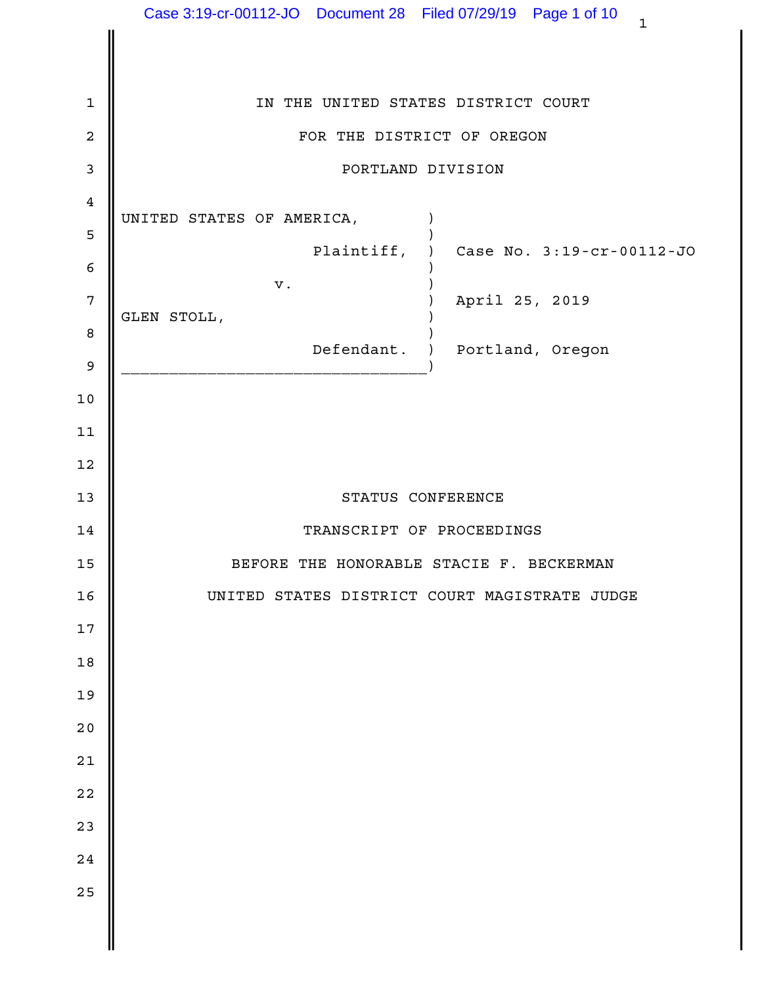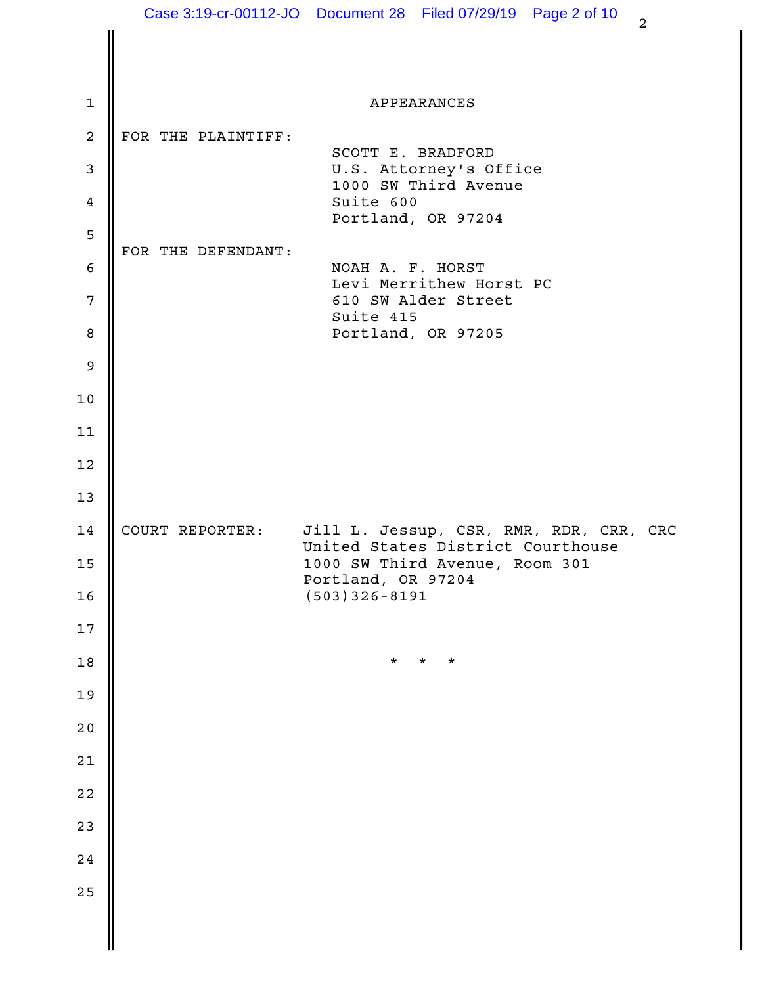|                  |                    | Case 3:19-cr-00112-JO  Document 28  Filed 07/29/19  Page 2 of 10<br>$\overline{a}$ |  |
|------------------|--------------------|------------------------------------------------------------------------------------|--|
|                  |                    |                                                                                    |  |
| $\mathbf{1}$     |                    | APPEARANCES                                                                        |  |
| $\boldsymbol{2}$ | FOR THE PLAINTIFF: |                                                                                    |  |
| $\mathsf 3$      |                    | SCOTT E. BRADFORD<br>U.S. Attorney's Office                                        |  |
| $\overline{4}$   |                    | 1000 SW Third Avenue<br>Suite 600                                                  |  |
| 5                |                    | Portland, OR 97204                                                                 |  |
| $\epsilon$       | FOR THE DEFENDANT: | NOAH A. F. HORST                                                                   |  |
| $7\phantom{.0}$  |                    | Levi Merrithew Horst PC<br>610 SW Alder Street                                     |  |
| $\,8\,$          |                    | Suite 415<br>Portland, OR 97205                                                    |  |
| $\mathsf 9$      |                    |                                                                                    |  |
| 10               |                    |                                                                                    |  |
| 11               |                    |                                                                                    |  |
| 12               |                    |                                                                                    |  |
| 13               |                    |                                                                                    |  |
| 14               | COURT REPORTER:    | Jill L. Jessup, CSR, RMR, RDR, CRR, CRC                                            |  |
| 15               |                    | United States District Courthouse<br>1000 SW Third Avenue, Room 301                |  |
| 16               |                    | Portland, OR 97204<br>$(503)$ 326-8191                                             |  |
| 17               |                    |                                                                                    |  |
| $18$             |                    | $\star$<br>$\star$<br>$\star$                                                      |  |
| 19               |                    |                                                                                    |  |
| $20$             |                    |                                                                                    |  |
| $2\,1$           |                    |                                                                                    |  |
| $2\,2$           |                    |                                                                                    |  |
| 23               |                    |                                                                                    |  |
| $2\,4$           |                    |                                                                                    |  |
| 25               |                    |                                                                                    |  |
|                  |                    |                                                                                    |  |
|                  |                    |                                                                                    |  |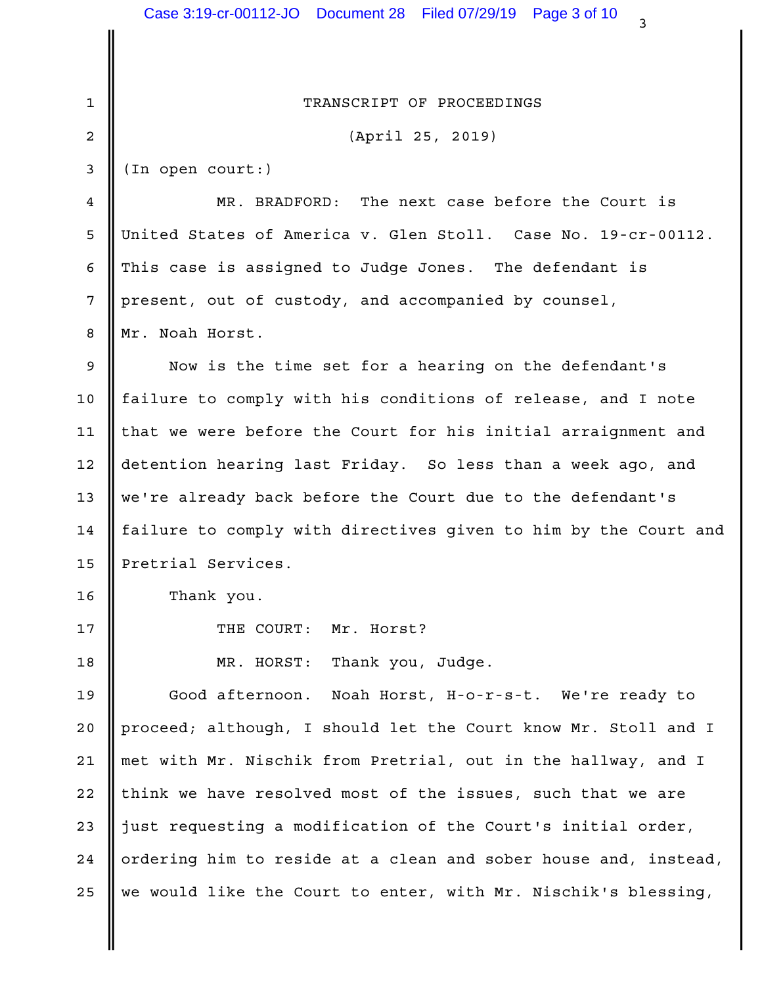|             | Case 3:19-cr-00112-JO  Document 28  Filed 07/29/19  Page 3 of 10<br>3 |  |
|-------------|-----------------------------------------------------------------------|--|
|             |                                                                       |  |
| $\mathbf 1$ | TRANSCRIPT OF PROCEEDINGS                                             |  |
| 2           | (April 25, 2019)                                                      |  |
| 3           | (In open court:)                                                      |  |
| 4           | The next case before the Court is<br>MR. BRADFORD:                    |  |
| 5           | United States of America v. Glen Stoll. Case No. 19-cr-00112.         |  |
| 6           | This case is assigned to Judge Jones. The defendant is                |  |
| 7           | present, out of custody, and accompanied by counsel,                  |  |
| 8           | Mr. Noah Horst.                                                       |  |
| 9           | Now is the time set for a hearing on the defendant's                  |  |
| 10          | failure to comply with his conditions of release, and I note          |  |
| 11          | that we were before the Court for his initial arraignment and         |  |
| 12          | detention hearing last Friday. So less than a week ago, and           |  |
| 13          | we're already back before the Court due to the defendant's            |  |
| 14          | failure to comply with directives given to him by the Court and       |  |
| 15          | Pretrial Services                                                     |  |
| 16          | Thank you.                                                            |  |
| 17          | THE COURT:<br>Mr. Horst?                                              |  |
| 18          | MR. HORST:<br>Thank you, Judge.                                       |  |
| 19          | Good afternoon.<br>Noah Horst, H-o-r-s-t. We're ready to              |  |
| 20          | proceed; although, I should let the Court know Mr. Stoll and I        |  |
| 21          | met with Mr. Nischik from Pretrial, out in the hallway, and I         |  |
| 22          | think we have resolved most of the issues, such that we are           |  |
| 23          | just requesting a modification of the Court's initial order,          |  |
| 24          | ordering him to reside at a clean and sober house and, instead,       |  |
| 25          | we would like the Court to enter, with Mr. Nischik's blessing,        |  |
|             |                                                                       |  |
|             |                                                                       |  |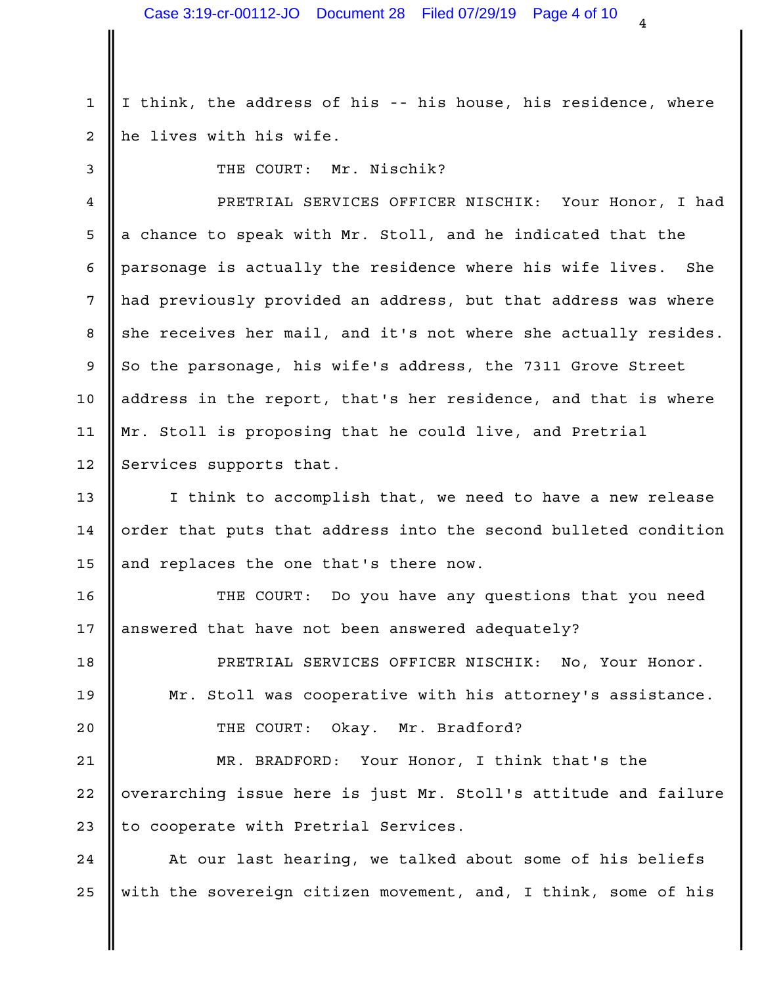1 I think, the address of his -- his house, his residence, where 2 || he lives with his wife.

3 Number of the COURT: Mr. Nischik?

PRETRIAL SERVICES OFFICER NISCHIK: Your Honor, I had 4  $5$   $\parallel$  a chance to speak with Mr. Stoll, and he indicated that the  $\parallel$ 6  $\parallel$  parsonage is actually the residence where his wife lives. She  $\parallel$ 7 || had previously provided an address, but that address was where 8 she receives her mail, and it's not where she actually resides.  $9 \parallel$  So the parsonage, his wife's address, the 7311 Grove Street  $\parallel$ 10 || address in the report, that's her residence, and that is where | 11 || Mr. Stoll is proposing that he could live, and Pretrial 12 Services supports that.

13 || I think to accomplish that, we need to have a new release 14  $\parallel$  order that puts that address into the second bulleted condition  $\parallel$ 15  $\parallel$  and replaces the one that's there now.

16 || THE COURT: Do you have any questions that you need  $17$  | answered that have not been answered adequately?

PRETRIAL SERVICES OFFICER NISCHIK: No, Your Honor. 18 Mr. Stoll was cooperative with his attorney's assistance. 19 THE COURT: Okay. Mr. Bradford? 20

21 || MR. BRADFORD: Your Honor, I think that's the | 22 ||overarching issue here is just Mr. Stoll's attitude and failure | 23 || to cooperate with Pretrial Services.

24 || At our last hearing, we talked about some of his beliefs | 25 || with the sovereign citizen movement, and, I think, some of his |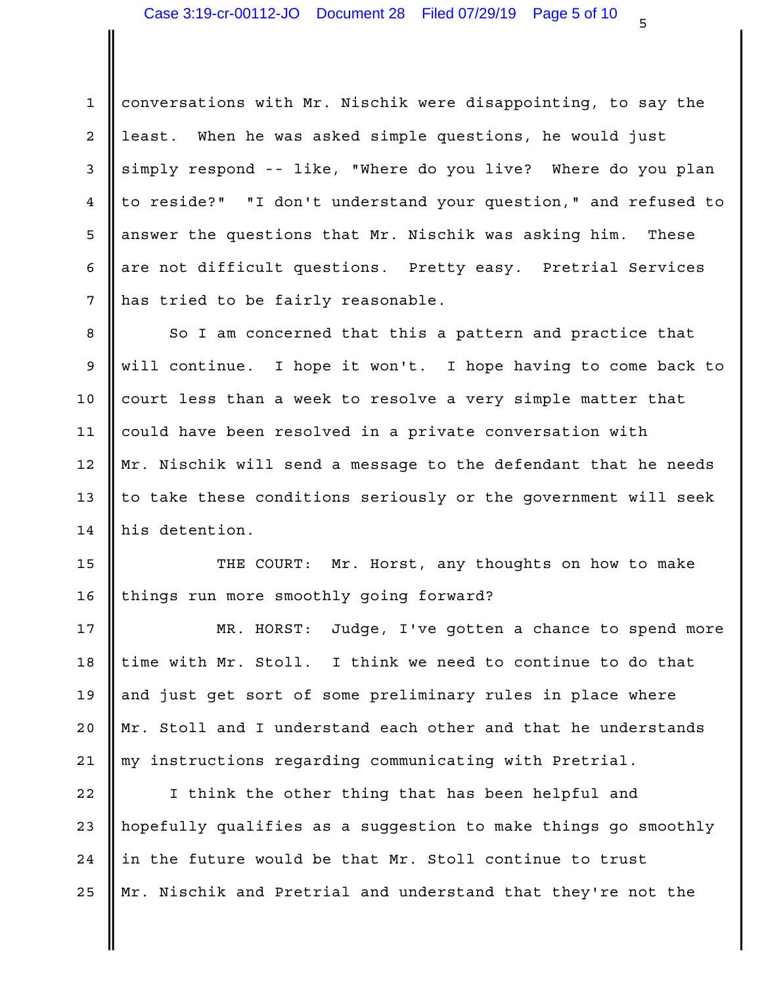1 || conversations with Mr. Nischik were disappointing, to say the 2 || least. When he was asked simple questions, he would just 3 simply respond -- like, "Where do you live? Where do you plan 4 || to reside?" "I don't understand your question," and refused to | 5 || answer the questions that Mr. Nischik was asking him. These || 6 || are not difficult questions. Pretty easy. Pretrial Services | 7 || has tried to be fairly reasonable.

8 || So I am concerned that this a pattern and practice that 9 || will continue. I hope it won't. I hope having to come back to | 10  $\parallel$  court less than a week to resolve a very simple matter that  $\parallel$ 11 || could have been resolved in a private conversation with 12 || Mr. Nischik will send a message to the defendant that he needs | 13 || to take these conditions seriously or the government will seek |  $14$  his detention.

15 || THE COURT: Mr. Horst, any thoughts on how to make | 16 || things run more smoothly going forward?

17 || MR. HORST: Judge, I've gotten a chance to spend more | 18 || time with Mr. Stoll. I think we need to continue to do that 19 || and just get sort of some preliminary rules in place where Theory 20  $\parallel$  Mr. Stoll and I understand each other and that he understands  $\parallel$ 21 || my instructions regarding communicating with Pretrial.

22 || I think the other thing that has been helpful and 23 || hopefully qualifies as a suggestion to make things go smoothly | 24  $\parallel$  in the future would be that Mr. Stoll continue to trust 25 || Mr. Nischik and Pretrial and understand that they're not the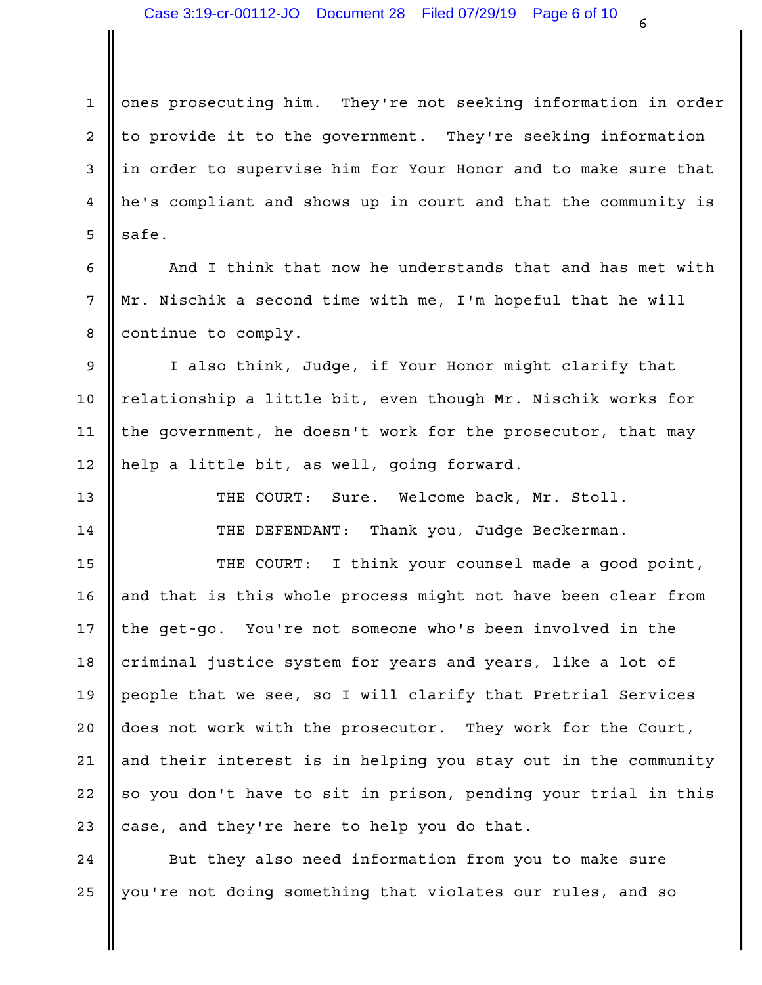1 || ones prosecuting him. They're not seeking information in order | 2 || to provide it to the government. They're seeking information | 3 || in order to supervise him for Your Honor and to make sure that 4 | he's compliant and shows up in court and that the community is  $\overline{5}$  safe.

6 || And I think that now he understands that and has met with | 7 || Mr. Nischik a second time with me, I'm hopeful that he will 8 | continue to comply.

9 || I also think, Judge, if Your Honor might clarify that || | 10 || relationship a little bit, even though Mr. Nischik works for 11 || the government, he doesn't work for the prosecutor, that may less 12 || help a little bit, as well, going forward.

Sure. Welcome back, Mr. Stoll. 13 **II** THE COURT:

14 || THE DEFENDANT: Thank you, Judge Beckerman. |

15 || THE COURT: I think your counsel made a good point, | 16 || and that is this whole process might not have been clear from | 17 || the get-go. You're not someone who's been involved in the 18 || criminal justice system for years and years, like a lot of 19 || people that we see, so I will clarify that Pretrial Services 20 || does not work with the prosecutor. They work for the Court, The 21 || and their interest is in helping you stay out in the community | 22 || so you don't have to sit in prison, pending your trial in this | 23  $\parallel$  case, and they're here to help you do that.

24 || But they also need information from you to make sure 25 ||you're not doing something that violates our rules, and so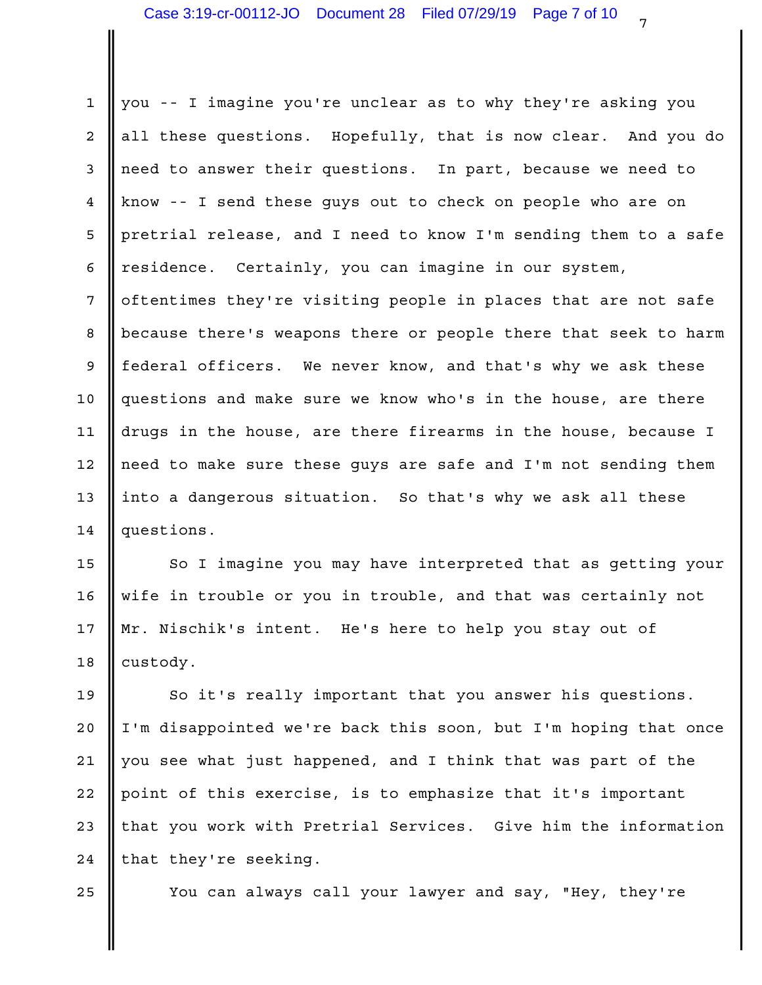1 || you -- I imagine you're unclear as to why they're asking you | 2 || all these questions. Hopefully, that is now clear. And you do | 3 || need to answer their questions. In part, because we need to 4 || know -- I send these guys out to check on people who are on 5 || pretrial release, and I need to know I'm sending them to a safe | 6 || residence. Certainly, you can imagine in our system, 7 || oftentimes they're visiting people in places that are not safe | 8 || because there's weapons there or people there that seek to harm | 9 || federal officers. We never know, and that's why we ask these 10 ||questions and make sure we know who's in the house, are there 11  $\parallel$  drugs in the house, are there firearms in the house, because I  $\parallel$ 12 || need to make sure these guys are safe and I'm not sending them | 13 || into a dangerous situation. So that's why we ask all these Theore 14 | questions.

15 || So I imagine you may have interpreted that as getting your | 16 || wife in trouble or you in trouble, and that was certainly not | 17 || Mr. Nischik's intent. He's here to help you stay out of 18 custody.

19 || So it's really important that you answer his questions. | 20 || I'm disappointed we're back this soon, but I'm hoping that once | 21 || you see what just happened, and I think that was part of the 22 || point of this exercise, is to emphasize that it's important 23 || that you work with Pretrial Services. Give him the information |  $24$  | that they're seeking.

You can always call your lawyer and say, "Hey, they're 25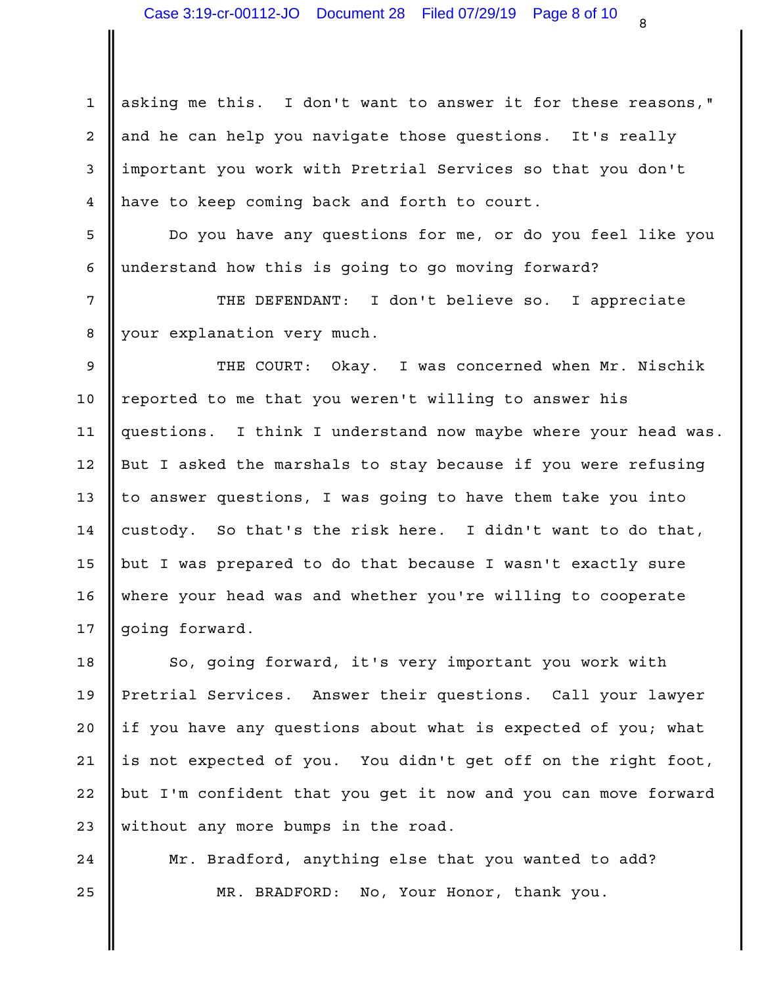1 || asking me this. I don't want to answer it for these reasons," | 2 || and he can help you navigate those questions. It's really Theory 3 ||important you work with Pretrial Services so that you don't 4 || have to keep coming back and forth to court.

5 || Do you have any questions for me, or do you feel like you | understand how this is going to go moving forward? 6

7 || THE DEFENDANT: I don't believe so. I appreciate | 8 || your explanation very much.

9 || THE COURT: Okay. I was concerned when Mr. Nischik | 10 || reported to me that you weren't willing to answer his 11 ||questions. I think I understand now maybe where your head was. | 12 || But I asked the marshals to stay because if you were refusing | 13 || to answer questions, I was going to have them take you into the l 14  $\parallel$  custody. So that's the risk here. I didn't want to do that, but I was prepared to do that because I wasn't exactly sure 15 16 || where your head was and whether you're willing to cooperate 17 going forward.

18 || So, going forward, it's very important you work with | 19 Pretrial Services. Answer their questions. Call your lawyer | 20 || if you have any questions about what is expected of you; what 21  $\parallel$  is not expected of you. You didn't get off on the right foot,  $\parallel$ 22 || but I'm confident that you get it now and you can move forward | 23 Without any more bumps in the road.

24 || Mr. Bradford, anything else that you wanted to add? | 25 || MR. BRADFORD: No, Your Honor, thank you.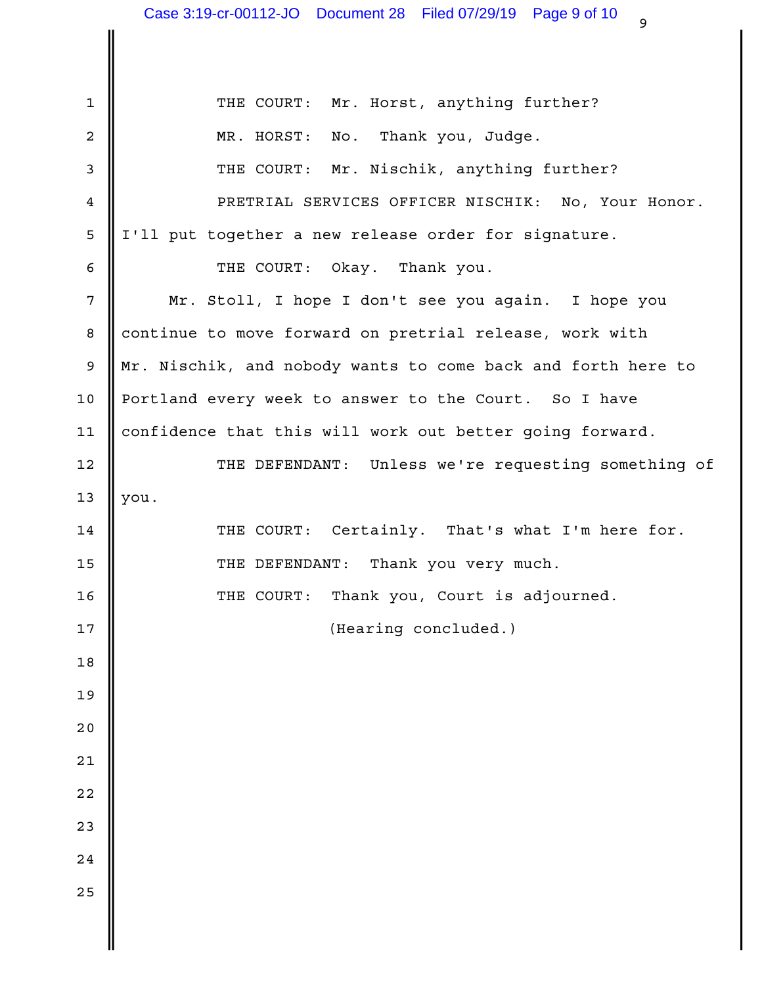THE COURT: Mr. Horst, anything further? 1 Thank you, Judge. 3 || THE COURT: Mr. Nischik, anything further? | PRETRIAL SERVICES OFFICER NISCHIK: No, Your Honor. 4 5 || I'll put together a new release order for signature. THE COURT: Okay. Thank you. 6 Mr. Stoll, I hope I don't see you again. I hope you 7 8 || continue to move forward on pretrial release, work with 9 || Mr. Nischik, and nobody wants to come back and forth here to Portland every week to answer to the Court. So I have 10 11 || confidence that this will work out better going forward. 12 || THE DEFENDANT: Unless we're requesting something of |  $13$  you. 14 || THE COURT: Certainly. That's what I'm here for. | THE DEFENDANT: Thank you very much. 15 16 || THE COURT: Thank you, Court is adjourned. (Hearing concluded.)  $2 \parallel$  MR. HORST: No.  $17$   $\parallel$ 18  $19$   $\parallel$  $20$   $\blacksquare$ 21  $\parallel$ 22  $\parallel$ 23  $\parallel$  $24$   $\parallel$  $25$   $\parallel$